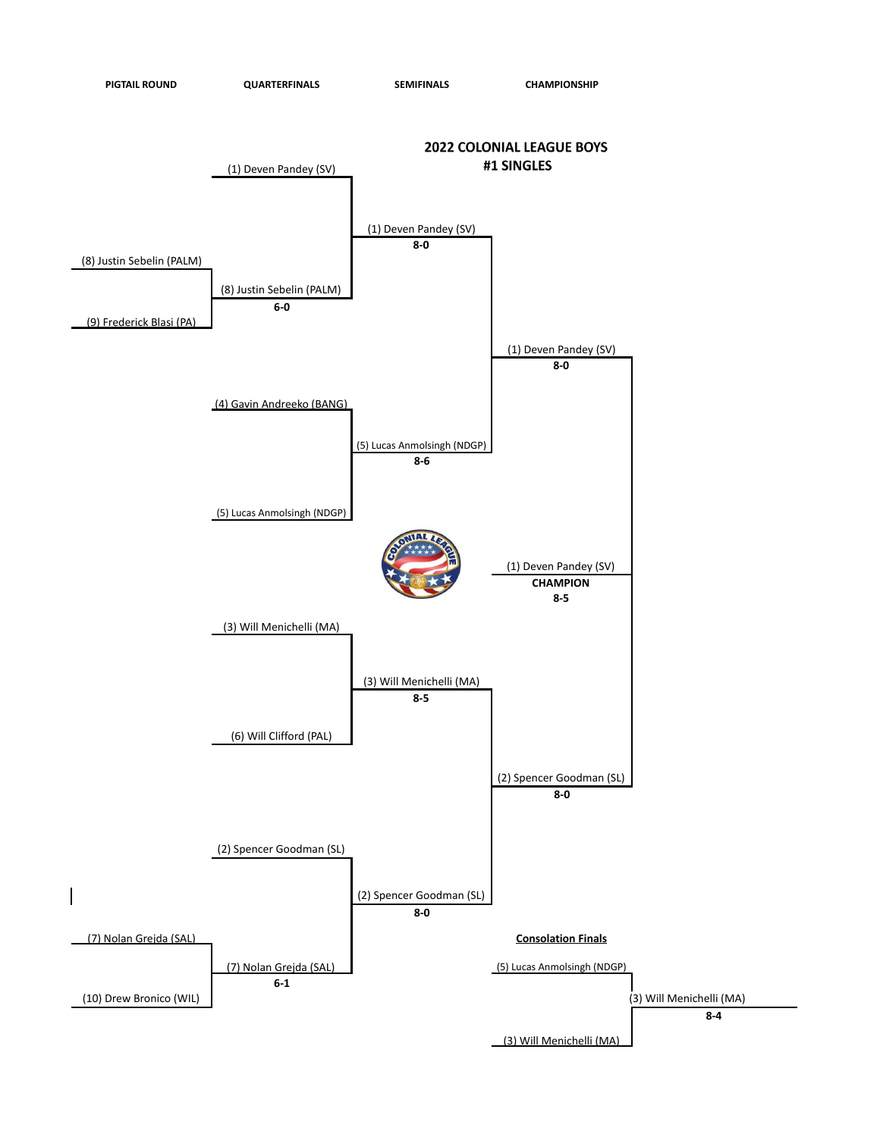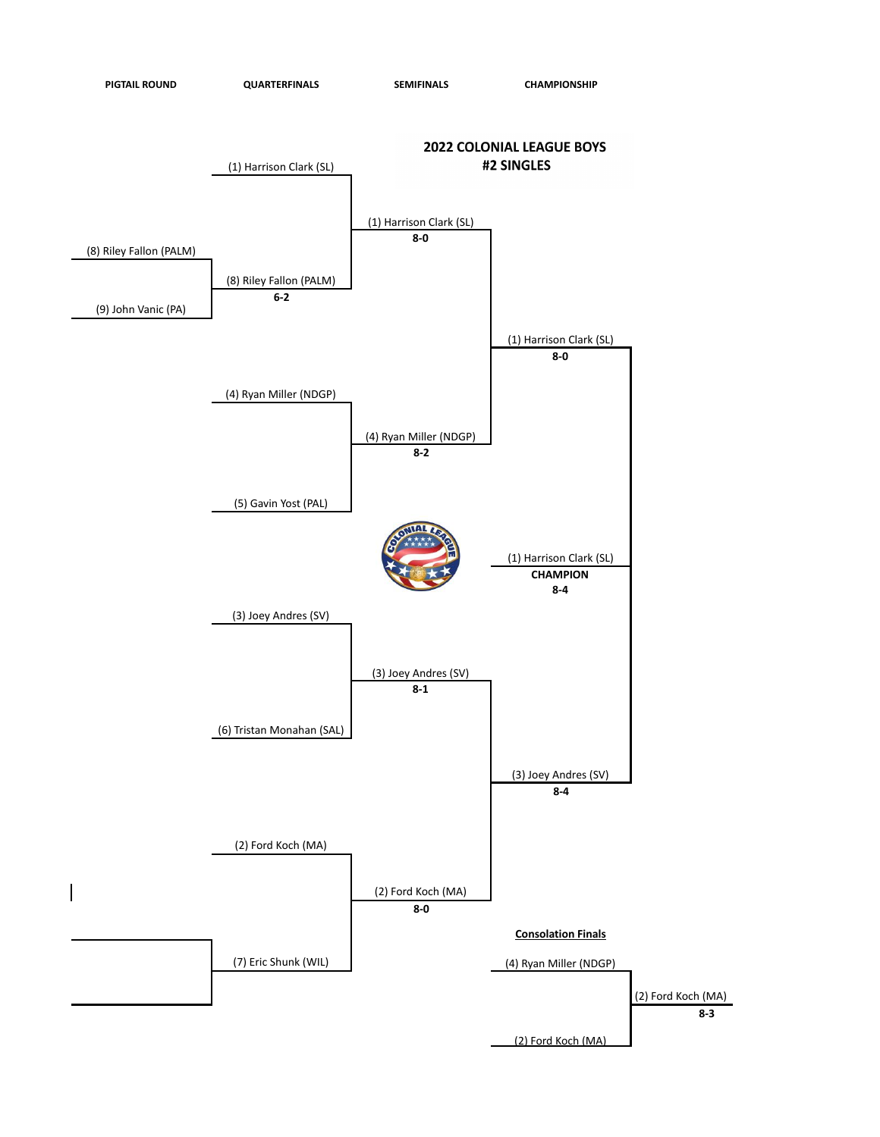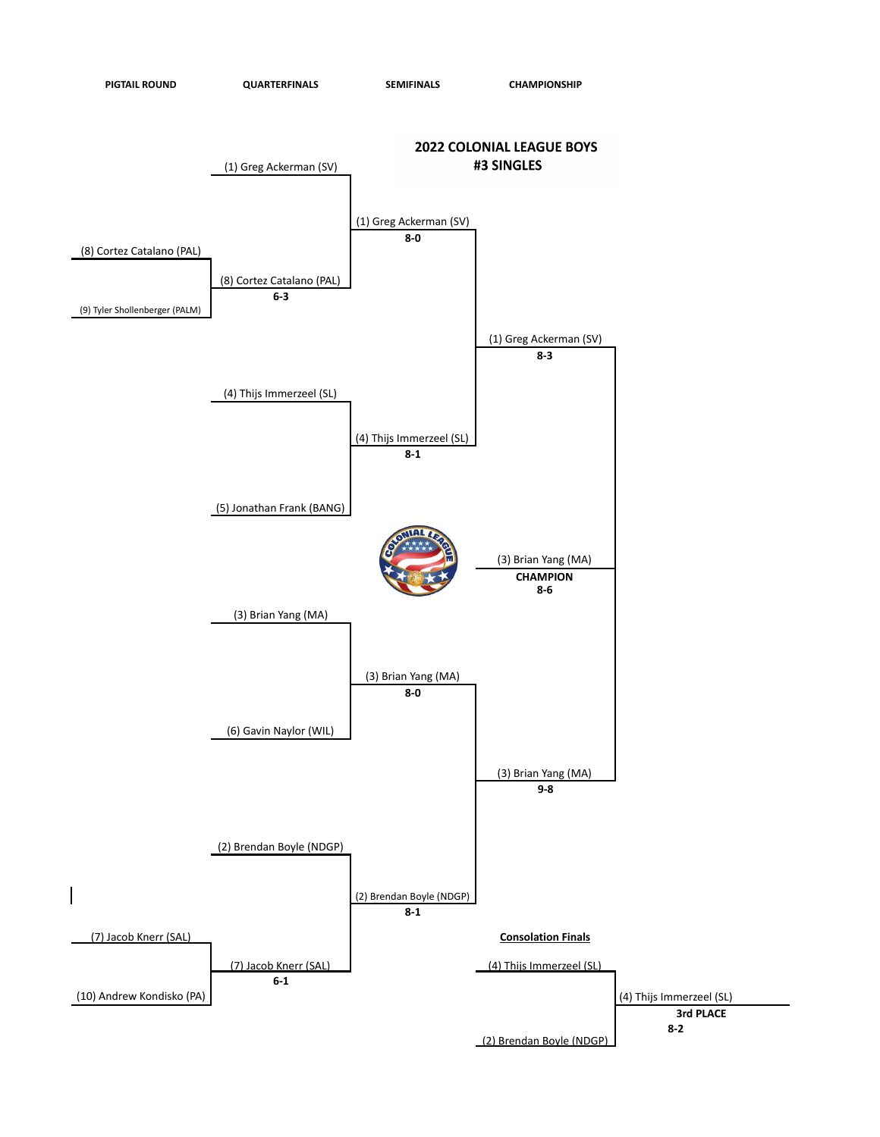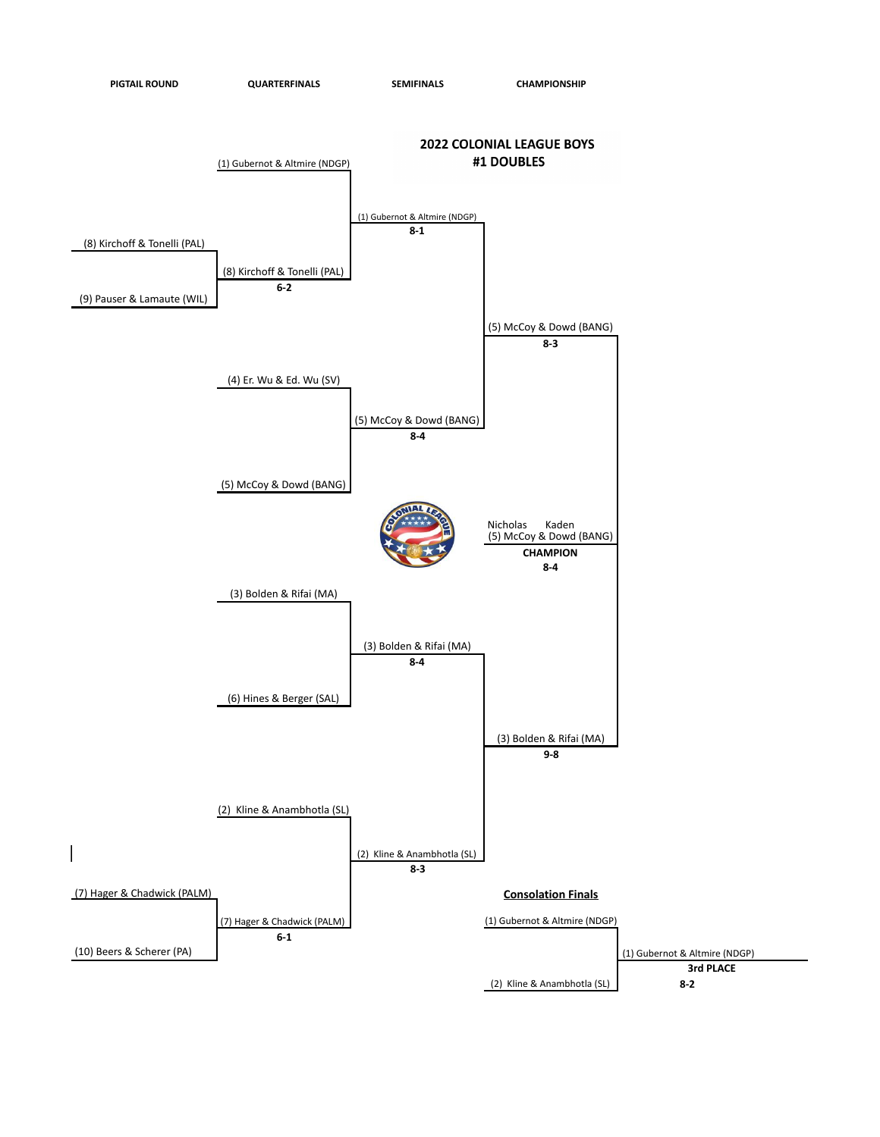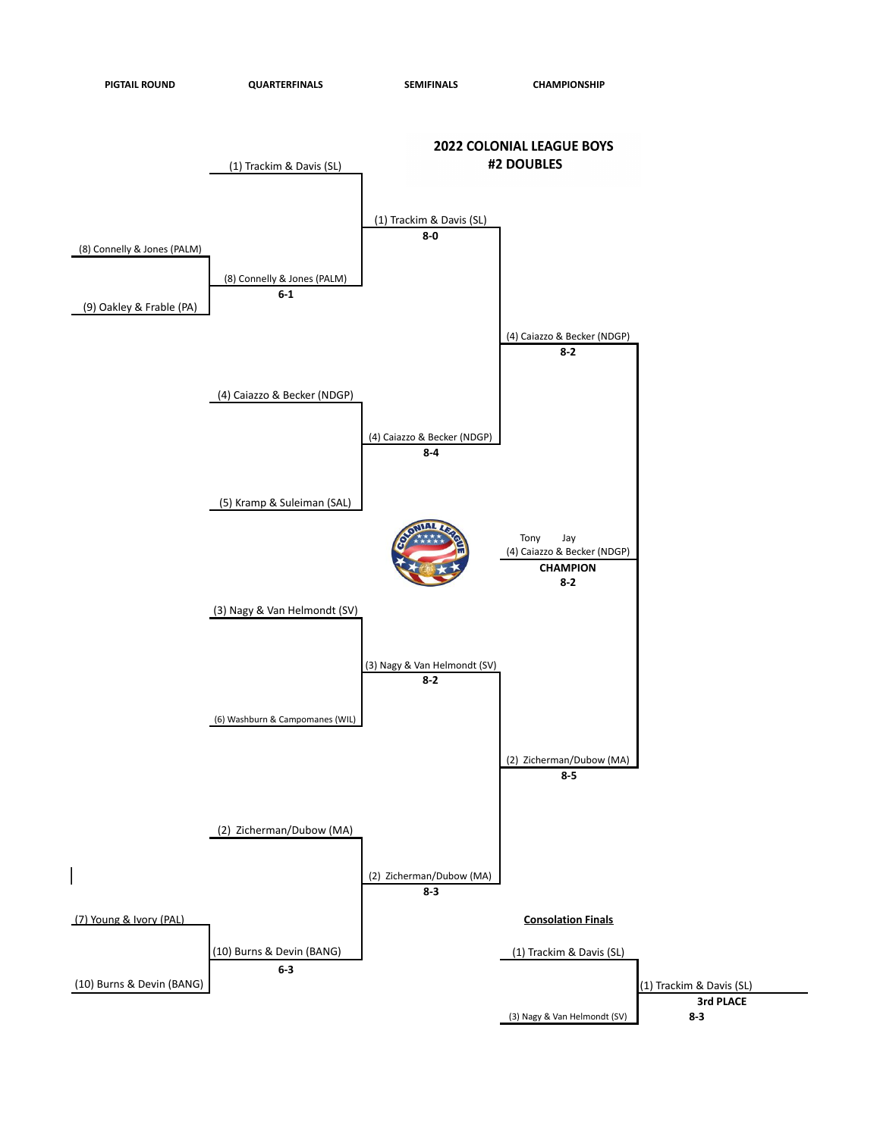